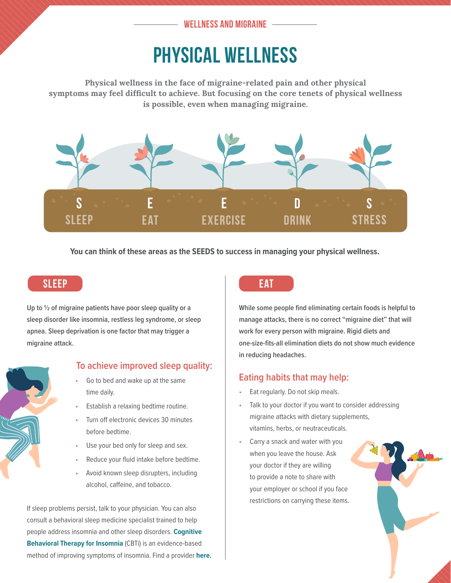## **WELLNESS AND MIGRAINE**

# PHYSICAL WELLNESS

**Physical wellness in the face of migraine-related pain and other physical symptoms may feel difficult to achieve. But focusing on the core tenets of physical wellness is possible, even when managing migraine.** 



**You can think of these areas as the SEEDS to success in managing your physical wellness.**

**Up to ½ of migraine patients have poor sleep quality or a sleep disorder like insomnia, restless leg syndrome, or sleep apnea. Sleep deprivation is one factor that may trigger a migraine attack.**



## **To achieve improved sleep quality:**

- Go to bed and wake up at the same time daily.
- Establish a relaxing bedtime routine.
- Turn off electronic devices 30 minutes before bedtime.
- Use your bed only for sleep and sex.
- Reduce your fluid intake before bedtime.
- Avoid known sleep disrupters, including alcohol, caffeine, and tobacco.

If sleep problems persist, talk to your physician. You can also consult a behavioral sleep medicine specialist trained to help people address insomnia and other sleep disorders. **Cognitive Behavioral Therapy for Insomnia** (CBTi) is an evidence-based method of improving symptoms of insomnia. Find a provider **[here.](http://behavioralsleep.org)**



**While some people find eliminating certain foods is helpful to manage attacks, there is no correct "migraine diet" that will work for every person with migraine. Rigid diets and one-size-fits-all elimination diets do not show much evidence in reducing headaches.**

## **Eating habits that may help:**

- Eat regularly. Do not skip meals.
- Talk to your doctor if you want to consider addressing migraine attacks with dietary supplements, vitamins, herbs, or neutraceuticals.
- Carry a snack and water with you when you leave the house. Ask your doctor if they are willing to provide a note to share with your employer or school if you face restrictions on carrying these items.